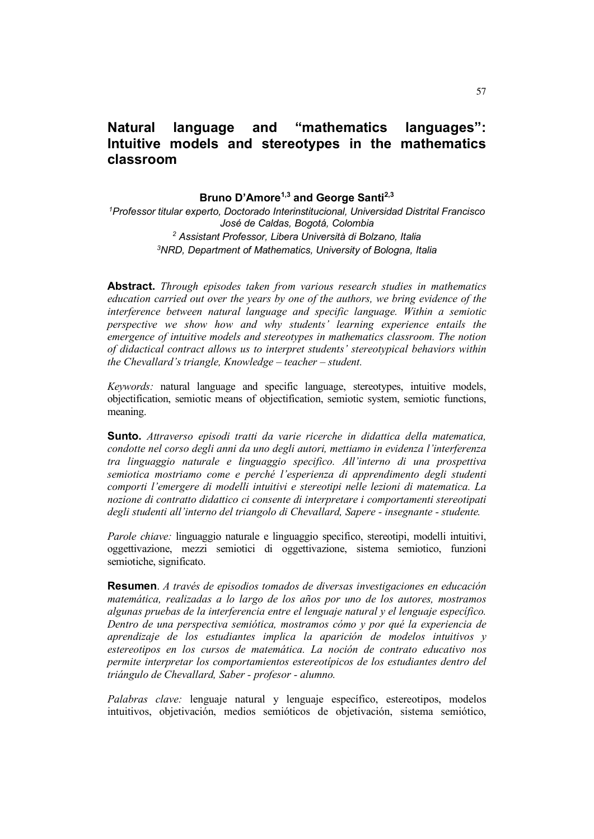# **Natural language and "mathematics languages": Intuitive models and stereotypes in the mathematics classroom**

### **Bruno D'Amore1,3 and George Santi2,3**

 *Professor titular experto, Doctorado Interinstitucional, Universidad Distrital Francisco José de Caldas, Bogotá, Colombia Assistant Professor, Libera Università di Bolzano, Italia NRD, Department of Mathematics, University of Bologna, Italia*

**Abstract.** *Through episodes taken from various research studies in mathematics education carried out over the years by one of the authors, we bring evidence of the interference between natural language and specific language. Within a semiotic perspective we show how and why students' learning experience entails the emergence of intuitive models and stereotypes in mathematics classroom. The notion of didactical contract allows us to interpret students' stereotypical behaviors within the Chevallard's triangle, Knowledge – teacher – student.*

*Keywords:* natural language and specific language, stereotypes, intuitive models, objectification, semiotic means of objectification, semiotic system, semiotic functions, meaning.

**Sunto.** *Attraverso episodi tratti da varie ricerche in didattica della matematica, condotte nel corso degli anni da uno degli autori, mettiamo in evidenza l'interferenza tra linguaggio naturale e linguaggio specifico. All'interno di una prospettiva semiotica mostriamo come e perché l'esperienza di apprendimento degli studenti comporti l'emergere di modelli intuitivi e stereotipi nelle lezioni di matematica. La nozione di contratto didattico ci consente di interpretare i comportamenti stereotipati degli studenti all'interno del triangolo di Chevallard, Sapere - insegnante - studente.*

*Parole chiave:* linguaggio naturale e linguaggio specifico, stereotipi, modelli intuitivi, oggettivazione, mezzi semiotici di oggettivazione, sistema semiotico, funzioni semiotiche, significato.

**Resumen**. *A través de episodios tomados de diversas investigaciones en educación matemática, realizadas a lo largo de los años por uno de los autores, mostramos algunas pruebas de la interferencia entre el lenguaje natural y el lenguaje específico. Dentro de una perspectiva semiótica, mostramos cómo y por qué la experiencia de aprendizaje de los estudiantes implica la aparición de modelos intuitivos y estereotipos en los cursos de matemática. La noción de contrato educativo nos permite interpretar los comportamientos estereotípicos de los estudiantes dentro del triángulo de Chevallard, Saber - profesor - alumno.*

*Palabras clave:* lenguaje natural y lenguaje específico, estereotipos, modelos intuitivos, objetivación, medios semióticos de objetivación, sistema semiótico,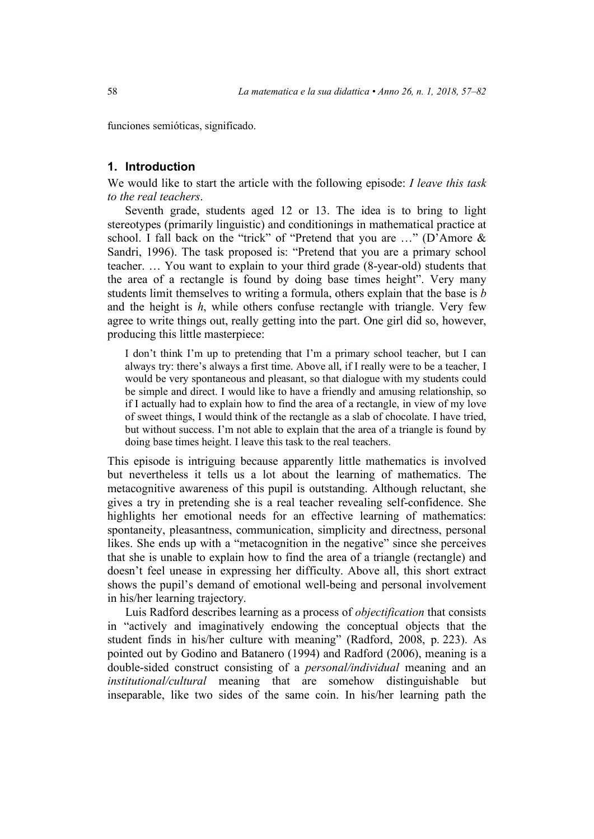funciones semióticas, significado.

### **1. Introduction**

We would like to start the article with the following episode: *I leave this task to the real teachers*.

Seventh grade, students aged 12 or 13. The idea is to bring to light stereotypes (primarily linguistic) and conditionings in mathematical practice at school. I fall back on the "trick" of "Pretend that you are ..." (D'Amore & Sandri, 1996). The task proposed is: "Pretend that you are a primary school teacher. … You want to explain to your third grade (8-year-old) students that the area of a rectangle is found by doing base times height". Very many students limit themselves to writing a formula, others explain that the base is *b* and the height is *h*, while others confuse rectangle with triangle. Very few agree to write things out, really getting into the part. One girl did so, however, producing this little masterpiece:

I don't think I'm up to pretending that I'm a primary school teacher, but I can always try: there's always a first time. Above all, if I really were to be a teacher, I would be very spontaneous and pleasant, so that dialogue with my students could be simple and direct. I would like to have a friendly and amusing relationship, so if I actually had to explain how to find the area of a rectangle, in view of my love of sweet things, I would think of the rectangle as a slab of chocolate. I have tried, but without success. I'm not able to explain that the area of a triangle is found by doing base times height. I leave this task to the real teachers.

This episode is intriguing because apparently little mathematics is involved but nevertheless it tells us a lot about the learning of mathematics. The metacognitive awareness of this pupil is outstanding. Although reluctant, she gives a try in pretending she is a real teacher revealing self-confidence. She highlights her emotional needs for an effective learning of mathematics: spontaneity, pleasantness, communication, simplicity and directness, personal likes. She ends up with a "metacognition in the negative" since she perceives that she is unable to explain how to find the area of a triangle (rectangle) and doesn't feel unease in expressing her difficulty. Above all, this short extract shows the pupil's demand of emotional well-being and personal involvement in his/her learning trajectory.

Luis Radford describes learning as a process of *objectification* that consists in "actively and imaginatively endowing the conceptual objects that the student finds in his/her culture with meaning" (Radford, 2008, p. 223). As pointed out by Godino and Batanero (1994) and Radford (2006), meaning is a double-sided construct consisting of a *personal/individual* meaning and an *institutional/cultural* meaning that are somehow distinguishable but inseparable, like two sides of the same coin. In his/her learning path the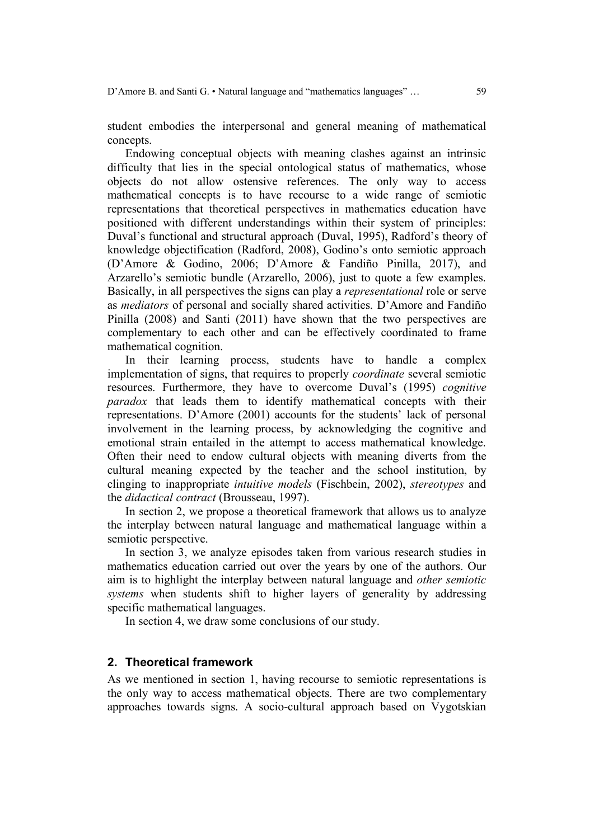student embodies the interpersonal and general meaning of mathematical concepts.

Endowing conceptual objects with meaning clashes against an intrinsic difficulty that lies in the special ontological status of mathematics, whose objects do not allow ostensive references. The only way to access mathematical concepts is to have recourse to a wide range of semiotic representations that theoretical perspectives in mathematics education have positioned with different understandings within their system of principles: Duval's functional and structural approach (Duval, 1995), Radford's theory of knowledge objectification (Radford, 2008), Godino's onto semiotic approach (D'Amore & Godino, 2006; D'Amore & Fandiño Pinilla, 2017), and Arzarello's semiotic bundle (Arzarello, 2006), just to quote a few examples. Basically, in all perspectives the signs can play a *representational* role or serve as *mediators* of personal and socially shared activities. D'Amore and Fandiño Pinilla (2008) and Santi (2011) have shown that the two perspectives are complementary to each other and can be effectively coordinated to frame mathematical cognition.

In their learning process, students have to handle a complex implementation of signs, that requires to properly *coordinate* several semiotic resources. Furthermore, they have to overcome Duval's (1995) *cognitive paradox* that leads them to identify mathematical concepts with their representations. D'Amore (2001) accounts for the students' lack of personal involvement in the learning process, by acknowledging the cognitive and emotional strain entailed in the attempt to access mathematical knowledge. Often their need to endow cultural objects with meaning diverts from the cultural meaning expected by the teacher and the school institution, by clinging to inappropriate *intuitive models* (Fischbein, 2002), *stereotypes* and the *didactical contract* (Brousseau, 1997).

In section 2, we propose a theoretical framework that allows us to analyze the interplay between natural language and mathematical language within a semiotic perspective.

In section 3, we analyze episodes taken from various research studies in mathematics education carried out over the years by one of the authors. Our aim is to highlight the interplay between natural language and *other semiotic systems* when students shift to higher layers of generality by addressing specific mathematical languages.

In section 4, we draw some conclusions of our study.

### **2. Theoretical framework**

As we mentioned in section 1, having recourse to semiotic representations is the only way to access mathematical objects. There are two complementary approaches towards signs. A socio-cultural approach based on Vygotskian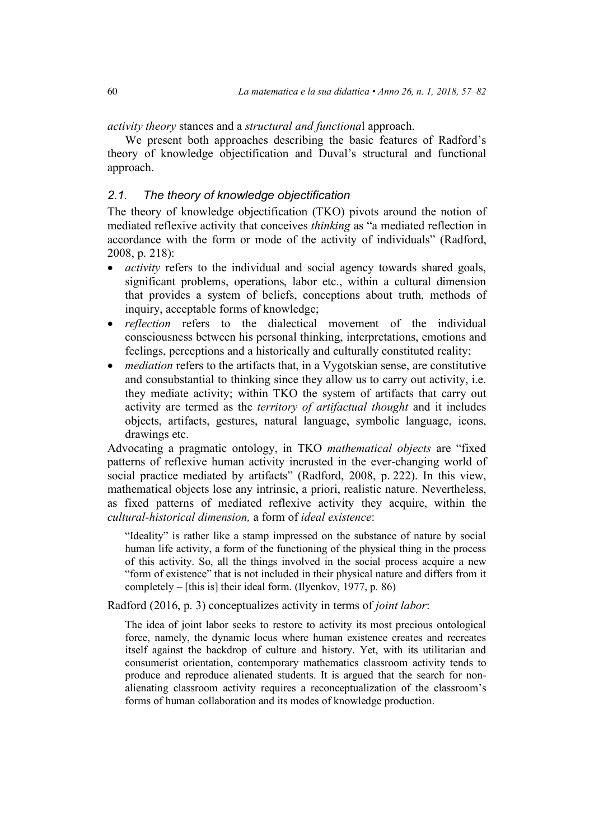*activity theory* stances and a *structural and functiona*l approach.

We present both approaches describing the basic features of Radford's theory of knowledge objectification and Duval's structural and functional approach.

## *2.1. The theory of knowledge objectification*

The theory of knowledge objectification (TKO) pivots around the notion of mediated reflexive activity that conceives *thinking* as "a mediated reflection in accordance with the form or mode of the activity of individuals" (Radford, 2008, p. 218):

- *activity* refers to the individual and social agency towards shared goals, significant problems, operations, labor etc., within a cultural dimension that provides a system of beliefs, conceptions about truth, methods of inquiry, acceptable forms of knowledge;
- *reflection* refers to the dialectical movement of the individual consciousness between his personal thinking, interpretations, emotions and feelings, perceptions and a historically and culturally constituted reality;
- *mediation* refers to the artifacts that, in a Vygotskian sense, are constitutive and consubstantial to thinking since they allow us to carry out activity, i.e. they mediate activity; within TKO the system of artifacts that carry out activity are termed as the *territory of artifactual thought* and it includes objects, artifacts, gestures, natural language, symbolic language, icons, drawings etc.

Advocating a pragmatic ontology, in TKO *mathematical objects* are "fixed patterns of reflexive human activity incrusted in the ever-changing world of social practice mediated by artifacts" (Radford, 2008, p. 222). In this view, mathematical objects lose any intrinsic, a priori, realistic nature. Nevertheless, as fixed patterns of mediated reflexive activity they acquire, within the *cultural-historical dimension,* a form of *ideal existence*:

"Ideality" is rather like a stamp impressed on the substance of nature by social human life activity, a form of the functioning of the physical thing in the process of this activity. So, all the things involved in the social process acquire a new "form of existence" that is not included in their physical nature and differs from it completely – [this is] their ideal form. (Ilyenkov, 1977, p. 86)

Radford (2016, p. 3) conceptualizes activity in terms of *joint labor*:

The idea of joint labor seeks to restore to activity its most precious ontological force, namely, the dynamic locus where human existence creates and recreates itself against the backdrop of culture and history. Yet, with its utilitarian and consumerist orientation, contemporary mathematics classroom activity tends to produce and reproduce alienated students. It is argued that the search for nonalienating classroom activity requires a reconceptualization of the classroom's forms of human collaboration and its modes of knowledge production.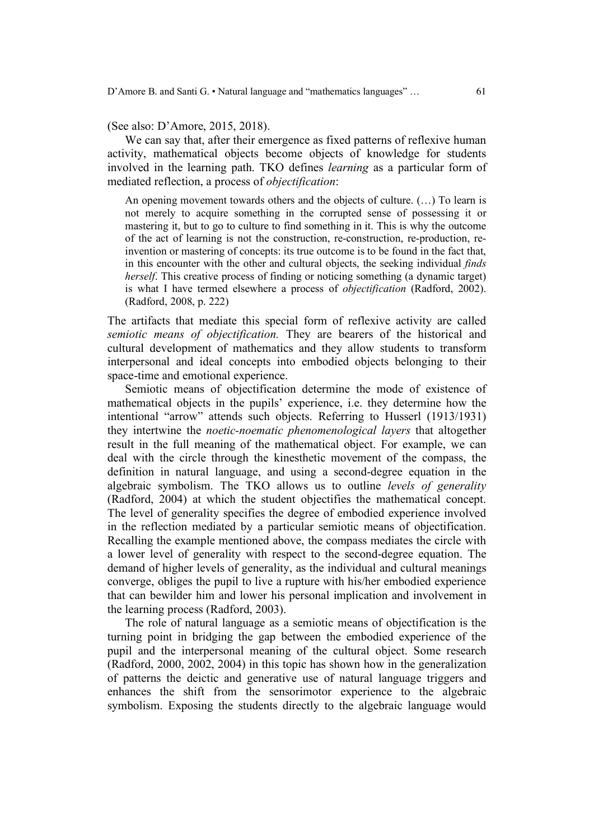(See also: D'Amore, 2015, 2018).

We can say that, after their emergence as fixed patterns of reflexive human activity, mathematical objects become objects of knowledge for students involved in the learning path. TKO defines *learning* as a particular form of mediated reflection, a process of *objectification*:

An opening movement towards others and the objects of culture. (…) To learn is not merely to acquire something in the corrupted sense of possessing it or mastering it, but to go to culture to find something in it. This is why the outcome of the act of learning is not the construction, re-construction, re-production, reinvention or mastering of concepts: its true outcome is to be found in the fact that, in this encounter with the other and cultural objects, the seeking individual *finds herself*. This creative process of finding or noticing something (a dynamic target) is what I have termed elsewhere a process of *objectification* (Radford, 2002). (Radford, 2008, p. 222)

The artifacts that mediate this special form of reflexive activity are called *semiotic means of objectification.* They are bearers of the historical and cultural development of mathematics and they allow students to transform interpersonal and ideal concepts into embodied objects belonging to their space-time and emotional experience.

Semiotic means of objectification determine the mode of existence of mathematical objects in the pupils' experience, i.e. they determine how the intentional "arrow" attends such objects. Referring to Husserl (1913/1931) they intertwine the *noetic-noematic phenomenological layers* that altogether result in the full meaning of the mathematical object. For example, we can deal with the circle through the kinesthetic movement of the compass, the definition in natural language, and using a second-degree equation in the algebraic symbolism. The TKO allows us to outline *levels of generality* (Radford, 2004) at which the student objectifies the mathematical concept. The level of generality specifies the degree of embodied experience involved in the reflection mediated by a particular semiotic means of objectification. Recalling the example mentioned above, the compass mediates the circle with a lower level of generality with respect to the second-degree equation. The demand of higher levels of generality, as the individual and cultural meanings converge, obliges the pupil to live a rupture with his/her embodied experience that can bewilder him and lower his personal implication and involvement in the learning process (Radford, 2003).

The role of natural language as a semiotic means of objectification is the turning point in bridging the gap between the embodied experience of the pupil and the interpersonal meaning of the cultural object. Some research (Radford, 2000, 2002, 2004) in this topic has shown how in the generalization of patterns the deictic and generative use of natural language triggers and enhances the shift from the sensorimotor experience to the algebraic symbolism. Exposing the students directly to the algebraic language would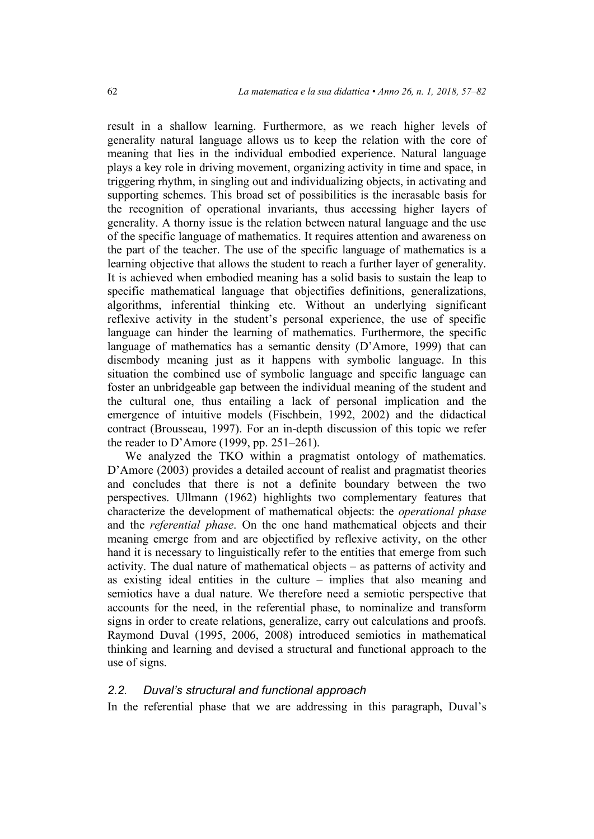result in a shallow learning. Furthermore, as we reach higher levels of generality natural language allows us to keep the relation with the core of meaning that lies in the individual embodied experience. Natural language plays a key role in driving movement, organizing activity in time and space, in triggering rhythm, in singling out and individualizing objects, in activating and supporting schemes. This broad set of possibilities is the inerasable basis for the recognition of operational invariants, thus accessing higher layers of generality. A thorny issue is the relation between natural language and the use of the specific language of mathematics. It requires attention and awareness on the part of the teacher. The use of the specific language of mathematics is a learning objective that allows the student to reach a further layer of generality. It is achieved when embodied meaning has a solid basis to sustain the leap to specific mathematical language that objectifies definitions, generalizations, algorithms, inferential thinking etc. Without an underlying significant reflexive activity in the student's personal experience, the use of specific language can hinder the learning of mathematics. Furthermore, the specific language of mathematics has a semantic density (D'Amore, 1999) that can disembody meaning just as it happens with symbolic language. In this situation the combined use of symbolic language and specific language can foster an unbridgeable gap between the individual meaning of the student and the cultural one, thus entailing a lack of personal implication and the emergence of intuitive models (Fischbein, 1992, 2002) and the didactical contract (Brousseau, 1997). For an in-depth discussion of this topic we refer the reader to D'Amore (1999, pp. 251–261).

We analyzed the TKO within a pragmatist ontology of mathematics. D'Amore (2003) provides a detailed account of realist and pragmatist theories and concludes that there is not a definite boundary between the two perspectives. Ullmann (1962) highlights two complementary features that characterize the development of mathematical objects: the *operational phase* and the *referential phase*. On the one hand mathematical objects and their meaning emerge from and are objectified by reflexive activity, on the other hand it is necessary to linguistically refer to the entities that emerge from such activity. The dual nature of mathematical objects – as patterns of activity and as existing ideal entities in the culture – implies that also meaning and semiotics have a dual nature. We therefore need a semiotic perspective that accounts for the need, in the referential phase, to nominalize and transform signs in order to create relations, generalize, carry out calculations and proofs. Raymond Duval (1995, 2006, 2008) introduced semiotics in mathematical thinking and learning and devised a structural and functional approach to the use of signs.

### *2.2. Duval's structural and functional approach*

In the referential phase that we are addressing in this paragraph, Duval's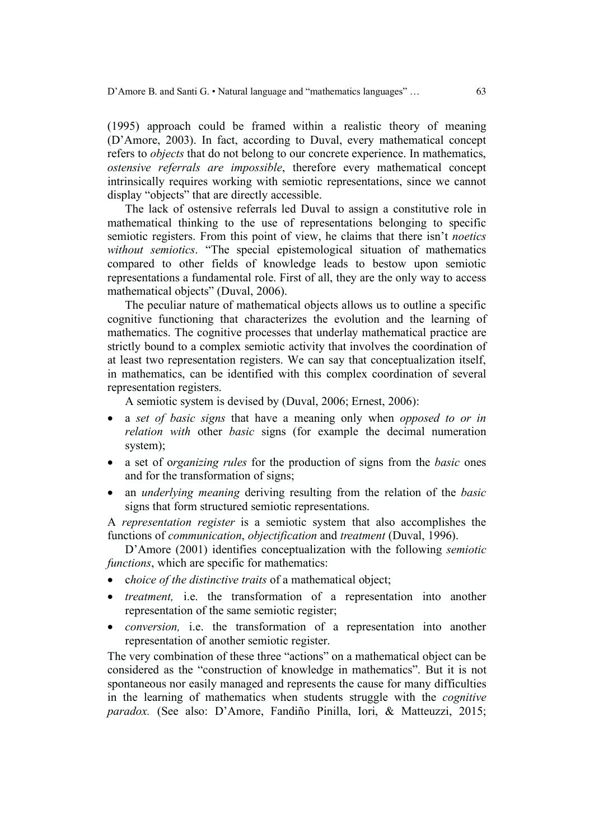(1995) approach could be framed within a realistic theory of meaning (D'Amore, 2003). In fact, according to Duval, every mathematical concept refers to *objects* that do not belong to our concrete experience. In mathematics, *ostensive referrals are impossible*, therefore every mathematical concept intrinsically requires working with semiotic representations, since we cannot display "objects" that are directly accessible.

The lack of ostensive referrals led Duval to assign a constitutive role in mathematical thinking to the use of representations belonging to specific semiotic registers. From this point of view, he claims that there isn't *noetics without semiotics*. "The special epistemological situation of mathematics compared to other fields of knowledge leads to bestow upon semiotic representations a fundamental role. First of all, they are the only way to access mathematical objects" (Duval, 2006).

The peculiar nature of mathematical objects allows us to outline a specific cognitive functioning that characterizes the evolution and the learning of mathematics. The cognitive processes that underlay mathematical practice are strictly bound to a complex semiotic activity that involves the coordination of at least two representation registers. We can say that conceptualization itself, in mathematics, can be identified with this complex coordination of several representation registers.

A semiotic system is devised by (Duval, 2006; Ernest, 2006):

- a *set of basic signs* that have a meaning only when *opposed to or in relation with* other *basic* signs (for example the decimal numeration system);
- a set of o*rganizing rules* for the production of signs from the *basic* ones and for the transformation of signs;
- an *underlying meaning* deriving resulting from the relation of the *basic*  signs that form structured semiotic representations.

A *representation register* is a semiotic system that also accomplishes the functions of *communication*, *objectification* and *treatment* (Duval, 1996).

D'Amore (2001) identifies conceptualization with the following *semiotic functions*, which are specific for mathematics:

- c*hoice of the distinctive traits* of a mathematical object;
- *treatment,* i.e. the transformation of a representation into another representation of the same semiotic register;
- *conversion,* i.e. the transformation of a representation into another representation of another semiotic register.

The very combination of these three "actions" on a mathematical object can be considered as the "construction of knowledge in mathematics". But it is not spontaneous nor easily managed and represents the cause for many difficulties in the learning of mathematics when students struggle with the *cognitive paradox.* (See also: D'Amore, Fandiño Pinilla, Iori, & Matteuzzi, 2015;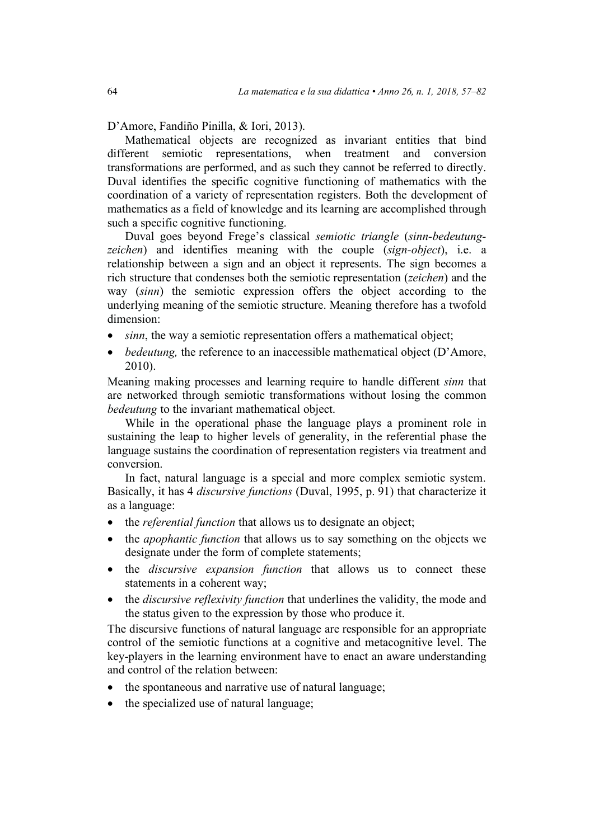D'Amore, Fandiño Pinilla, & Iori, 2013).

Mathematical objects are recognized as invariant entities that bind different semiotic representations, when treatment and conversion transformations are performed, and as such they cannot be referred to directly. Duval identifies the specific cognitive functioning of mathematics with the coordination of a variety of representation registers. Both the development of mathematics as a field of knowledge and its learning are accomplished through such a specific cognitive functioning.

Duval goes beyond Frege's classical *semiotic triangle* (*sinn-bedeutungzeichen*) and identifies meaning with the couple (*sign-object*), i.e. a relationship between a sign and an object it represents. The sign becomes a rich structure that condenses both the semiotic representation (*zeichen*) and the way (*sinn*) the semiotic expression offers the object according to the underlying meaning of the semiotic structure. Meaning therefore has a twofold dimension:

- *sinn*, the way a semiotic representation offers a mathematical object;
- *bedeutung*, the reference to an inaccessible mathematical object (D'Amore, 2010).

Meaning making processes and learning require to handle different *sinn* that are networked through semiotic transformations without losing the common *bedeutung* to the invariant mathematical object.

While in the operational phase the language plays a prominent role in sustaining the leap to higher levels of generality, in the referential phase the language sustains the coordination of representation registers via treatment and conversion.

In fact, natural language is a special and more complex semiotic system. Basically, it has 4 *discursive functions* (Duval, 1995, p. 91) that characterize it as a language:

- the *referential function* that allows us to designate an object;
- the *apophantic function* that allows us to say something on the objects we designate under the form of complete statements;
- the *discursive expansion function* that allows us to connect these statements in a coherent way;
- the *discursive reflexivity function* that underlines the validity, the mode and the status given to the expression by those who produce it.

The discursive functions of natural language are responsible for an appropriate control of the semiotic functions at a cognitive and metacognitive level. The key-players in the learning environment have to enact an aware understanding and control of the relation between:

- the spontaneous and narrative use of natural language;
- the specialized use of natural language;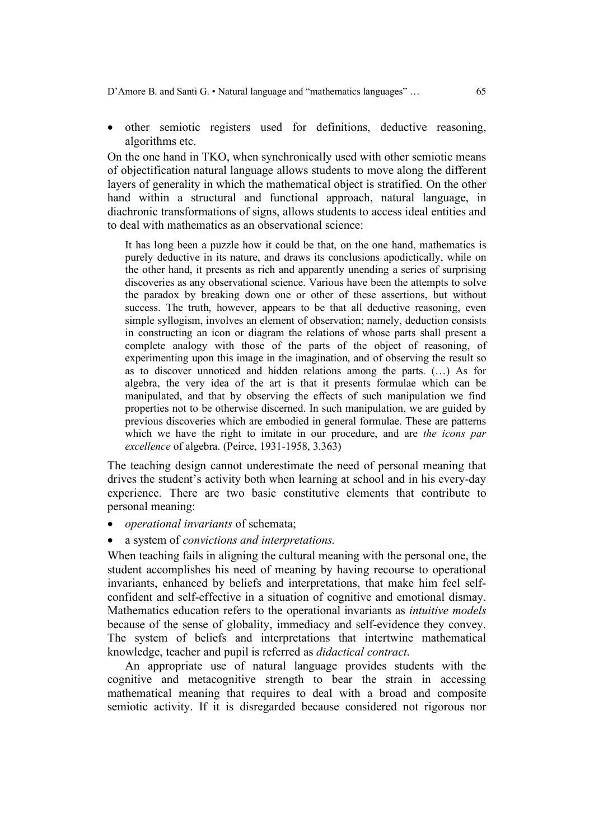• other semiotic registers used for definitions, deductive reasoning, algorithms etc.

On the one hand in TKO, when synchronically used with other semiotic means of objectification natural language allows students to move along the different layers of generality in which the mathematical object is stratified. On the other hand within a structural and functional approach, natural language, in diachronic transformations of signs, allows students to access ideal entities and to deal with mathematics as an observational science:

It has long been a puzzle how it could be that, on the one hand, mathematics is purely deductive in its nature, and draws its conclusions apodictically, while on the other hand, it presents as rich and apparently unending a series of surprising discoveries as any observational science. Various have been the attempts to solve the paradox by breaking down one or other of these assertions, but without success. The truth, however, appears to be that all deductive reasoning, even simple syllogism, involves an element of observation; namely, deduction consists in constructing an icon or diagram the relations of whose parts shall present a complete analogy with those of the parts of the object of reasoning, of experimenting upon this image in the imagination, and of observing the result so as to discover unnoticed and hidden relations among the parts. (…) As for algebra, the very idea of the art is that it presents formulae which can be manipulated, and that by observing the effects of such manipulation we find properties not to be otherwise discerned. In such manipulation, we are guided by previous discoveries which are embodied in general formulae. These are patterns which we have the right to imitate in our procedure, and are *the icons par excellence* of algebra. (Peirce, 1931-1958, 3.363)

The teaching design cannot underestimate the need of personal meaning that drives the student's activity both when learning at school and in his every-day experience. There are two basic constitutive elements that contribute to personal meaning:

- *operational invariants* of schemata;
- a system of *convictions and interpretations.*

When teaching fails in aligning the cultural meaning with the personal one, the student accomplishes his need of meaning by having recourse to operational invariants, enhanced by beliefs and interpretations, that make him feel selfconfident and self-effective in a situation of cognitive and emotional dismay. Mathematics education refers to the operational invariants as *intuitive models* because of the sense of globality, immediacy and self-evidence they convey. The system of beliefs and interpretations that intertwine mathematical knowledge, teacher and pupil is referred as *didactical contract*.

An appropriate use of natural language provides students with the cognitive and metacognitive strength to bear the strain in accessing mathematical meaning that requires to deal with a broad and composite semiotic activity. If it is disregarded because considered not rigorous nor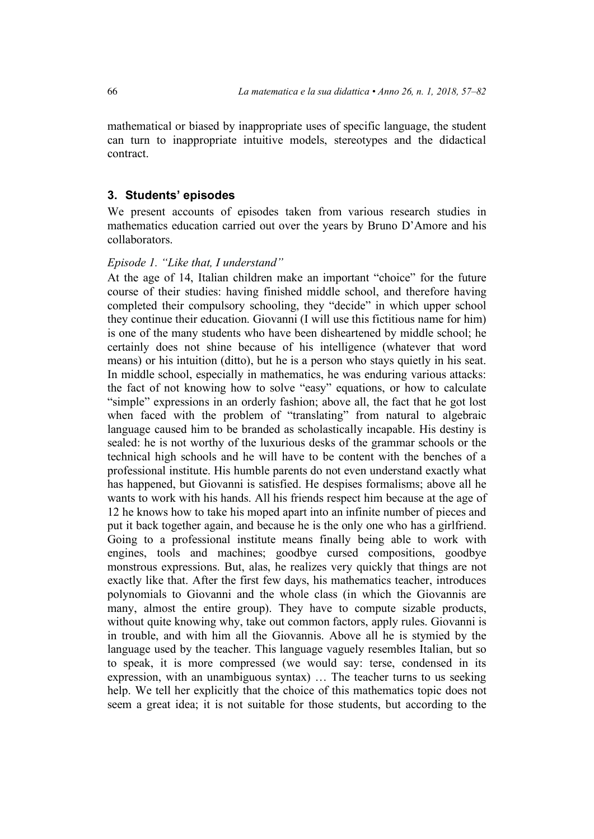mathematical or biased by inappropriate uses of specific language, the student can turn to inappropriate intuitive models, stereotypes and the didactical contract.

### **3. Students' episodes**

We present accounts of episodes taken from various research studies in mathematics education carried out over the years by Bruno D'Amore and his collaborators.

### *Episode 1. "Like that, I understand"*

At the age of 14, Italian children make an important "choice" for the future course of their studies: having finished middle school, and therefore having completed their compulsory schooling, they "decide" in which upper school they continue their education. Giovanni (I will use this fictitious name for him) is one of the many students who have been disheartened by middle school; he certainly does not shine because of his intelligence (whatever that word means) or his intuition (ditto), but he is a person who stays quietly in his seat. In middle school, especially in mathematics, he was enduring various attacks: the fact of not knowing how to solve "easy" equations, or how to calculate "simple" expressions in an orderly fashion; above all, the fact that he got lost when faced with the problem of "translating" from natural to algebraic language caused him to be branded as scholastically incapable. His destiny is sealed: he is not worthy of the luxurious desks of the grammar schools or the technical high schools and he will have to be content with the benches of a professional institute. His humble parents do not even understand exactly what has happened, but Giovanni is satisfied. He despises formalisms; above all he wants to work with his hands. All his friends respect him because at the age of 12 he knows how to take his moped apart into an infinite number of pieces and put it back together again, and because he is the only one who has a girlfriend. Going to a professional institute means finally being able to work with engines, tools and machines; goodbye cursed compositions, goodbye monstrous expressions. But, alas, he realizes very quickly that things are not exactly like that. After the first few days, his mathematics teacher, introduces polynomials to Giovanni and the whole class (in which the Giovannis are many, almost the entire group). They have to compute sizable products, without quite knowing why, take out common factors, apply rules. Giovanni is in trouble, and with him all the Giovannis. Above all he is stymied by the language used by the teacher. This language vaguely resembles Italian, but so to speak, it is more compressed (we would say: terse, condensed in its expression, with an unambiguous syntax) … The teacher turns to us seeking help. We tell her explicitly that the choice of this mathematics topic does not seem a great idea; it is not suitable for those students, but according to the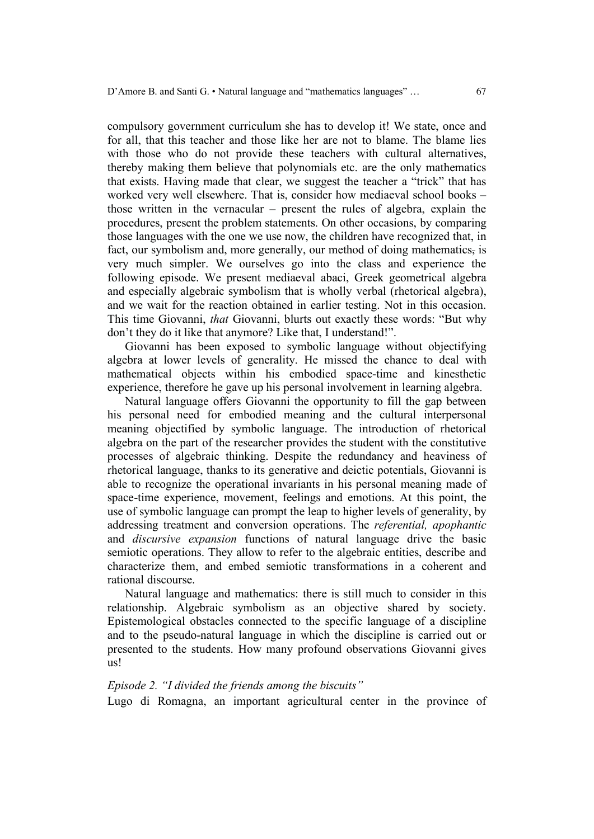compulsory government curriculum she has to develop it! We state, once and for all, that this teacher and those like her are not to blame. The blame lies with those who do not provide these teachers with cultural alternatives, thereby making them believe that polynomials etc. are the only mathematics that exists. Having made that clear, we suggest the teacher a "trick" that has worked very well elsewhere. That is, consider how mediaeval school books – those written in the vernacular – present the rules of algebra, explain the procedures, present the problem statements. On other occasions, by comparing those languages with the one we use now, the children have recognized that, in fact, our symbolism and, more generally, our method of doing mathematics, is very much simpler. We ourselves go into the class and experience the following episode. We present mediaeval abaci, Greek geometrical algebra and especially algebraic symbolism that is wholly verbal (rhetorical algebra), and we wait for the reaction obtained in earlier testing. Not in this occasion. This time Giovanni, *that* Giovanni, blurts out exactly these words: "But why don't they do it like that anymore? Like that, I understand!".

Giovanni has been exposed to symbolic language without objectifying algebra at lower levels of generality. He missed the chance to deal with mathematical objects within his embodied space-time and kinesthetic experience, therefore he gave up his personal involvement in learning algebra.

Natural language offers Giovanni the opportunity to fill the gap between his personal need for embodied meaning and the cultural interpersonal meaning objectified by symbolic language. The introduction of rhetorical algebra on the part of the researcher provides the student with the constitutive processes of algebraic thinking. Despite the redundancy and heaviness of rhetorical language, thanks to its generative and deictic potentials, Giovanni is able to recognize the operational invariants in his personal meaning made of space-time experience, movement, feelings and emotions. At this point, the use of symbolic language can prompt the leap to higher levels of generality, by addressing treatment and conversion operations. The *referential, apophantic*  and *discursive expansion* functions of natural language drive the basic semiotic operations. They allow to refer to the algebraic entities, describe and characterize them, and embed semiotic transformations in a coherent and rational discourse.

Natural language and mathematics: there is still much to consider in this relationship. Algebraic symbolism as an objective shared by society. Epistemological obstacles connected to the specific language of a discipline and to the pseudo-natural language in which the discipline is carried out or presented to the students. How many profound observations Giovanni gives us!

### *Episode 2. "I divided the friends among the biscuits"*

Lugo di Romagna, an important agricultural center in the province of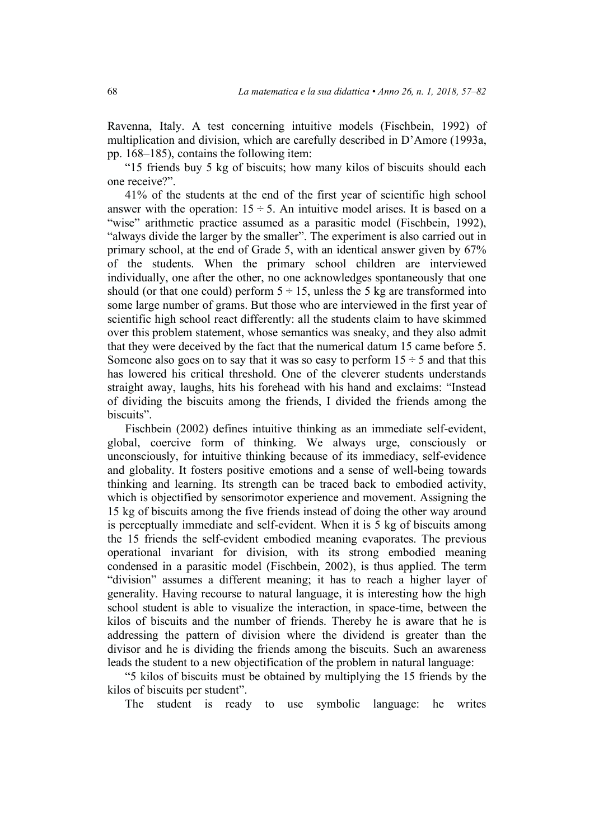Ravenna, Italy. A test concerning intuitive models (Fischbein, 1992) of multiplication and division, which are carefully described in D'Amore (1993a, pp. 168–185), contains the following item:

"15 friends buy 5 kg of biscuits; how many kilos of biscuits should each one receive?".

41% of the students at the end of the first year of scientific high school answer with the operation:  $15 \div 5$ . An intuitive model arises. It is based on a "wise" arithmetic practice assumed as a parasitic model (Fischbein, 1992), "always divide the larger by the smaller". The experiment is also carried out in primary school, at the end of Grade 5, with an identical answer given by 67% of the students. When the primary school children are interviewed individually, one after the other, no one acknowledges spontaneously that one should (or that one could) perform  $5 \div 15$ , unless the 5 kg are transformed into some large number of grams. But those who are interviewed in the first year of scientific high school react differently: all the students claim to have skimmed over this problem statement, whose semantics was sneaky, and they also admit that they were deceived by the fact that the numerical datum 15 came before 5. Someone also goes on to say that it was so easy to perform  $15 \div 5$  and that this has lowered his critical threshold. One of the cleverer students understands straight away, laughs, hits his forehead with his hand and exclaims: "Instead of dividing the biscuits among the friends, I divided the friends among the biscuits".

Fischbein (2002) defines intuitive thinking as an immediate self-evident, global, coercive form of thinking. We always urge, consciously or unconsciously, for intuitive thinking because of its immediacy, self-evidence and globality. It fosters positive emotions and a sense of well-being towards thinking and learning. Its strength can be traced back to embodied activity, which is objectified by sensorimotor experience and movement. Assigning the 15 kg of biscuits among the five friends instead of doing the other way around is perceptually immediate and self-evident. When it is 5 kg of biscuits among the 15 friends the self-evident embodied meaning evaporates. The previous operational invariant for division, with its strong embodied meaning condensed in a parasitic model (Fischbein, 2002), is thus applied. The term "division" assumes a different meaning; it has to reach a higher layer of generality. Having recourse to natural language, it is interesting how the high school student is able to visualize the interaction, in space-time, between the kilos of biscuits and the number of friends. Thereby he is aware that he is addressing the pattern of division where the dividend is greater than the divisor and he is dividing the friends among the biscuits. Such an awareness leads the student to a new objectification of the problem in natural language:

"5 kilos of biscuits must be obtained by multiplying the 15 friends by the kilos of biscuits per student".

The student is ready to use symbolic language: he writes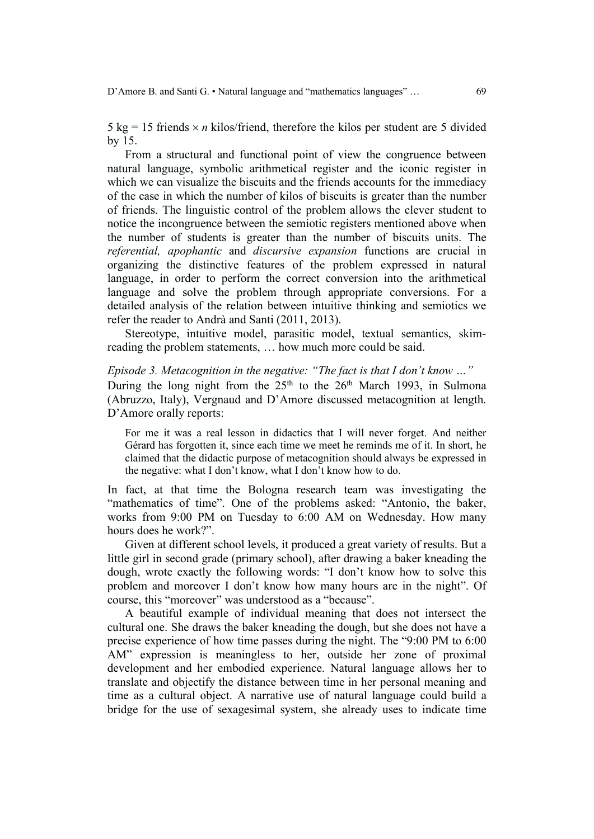5 kg = 15 friends  $\times n$  kilos/friend, therefore the kilos per student are 5 divided by 15.

From a structural and functional point of view the congruence between natural language, symbolic arithmetical register and the iconic register in which we can visualize the biscuits and the friends accounts for the immediacy of the case in which the number of kilos of biscuits is greater than the number of friends. The linguistic control of the problem allows the clever student to notice the incongruence between the semiotic registers mentioned above when the number of students is greater than the number of biscuits units. The *referential, apophantic* and *discursive expansion* functions are crucial in organizing the distinctive features of the problem expressed in natural language, in order to perform the correct conversion into the arithmetical language and solve the problem through appropriate conversions. For a detailed analysis of the relation between intuitive thinking and semiotics we refer the reader to Andrà and Santi (2011, 2013).

Stereotype, intuitive model, parasitic model, textual semantics, skimreading the problem statements, … how much more could be said.

*Episode 3. Metacognition in the negative: "The fact is that I don't know …"* During the long night from the  $25<sup>th</sup>$  to the  $26<sup>th</sup>$  March 1993, in Sulmona (Abruzzo, Italy), Vergnaud and D'Amore discussed metacognition at length. D'Amore orally reports:

For me it was a real lesson in didactics that I will never forget. And neither Gérard has forgotten it, since each time we meet he reminds me of it. In short, he claimed that the didactic purpose of metacognition should always be expressed in the negative: what I don't know, what I don't know how to do.

In fact, at that time the Bologna research team was investigating the "mathematics of time". One of the problems asked: "Antonio, the baker, works from 9:00 PM on Tuesday to 6:00 AM on Wednesday. How many hours does he work?".

Given at different school levels, it produced a great variety of results. But a little girl in second grade (primary school), after drawing a baker kneading the dough, wrote exactly the following words: "I don't know how to solve this problem and moreover I don't know how many hours are in the night". Of course, this "moreover" was understood as a "because".

A beautiful example of individual meaning that does not intersect the cultural one. She draws the baker kneading the dough, but she does not have a precise experience of how time passes during the night. The "9:00 PM to 6:00 AM" expression is meaningless to her, outside her zone of proximal development and her embodied experience. Natural language allows her to translate and objectify the distance between time in her personal meaning and time as a cultural object. A narrative use of natural language could build a bridge for the use of sexagesimal system, she already uses to indicate time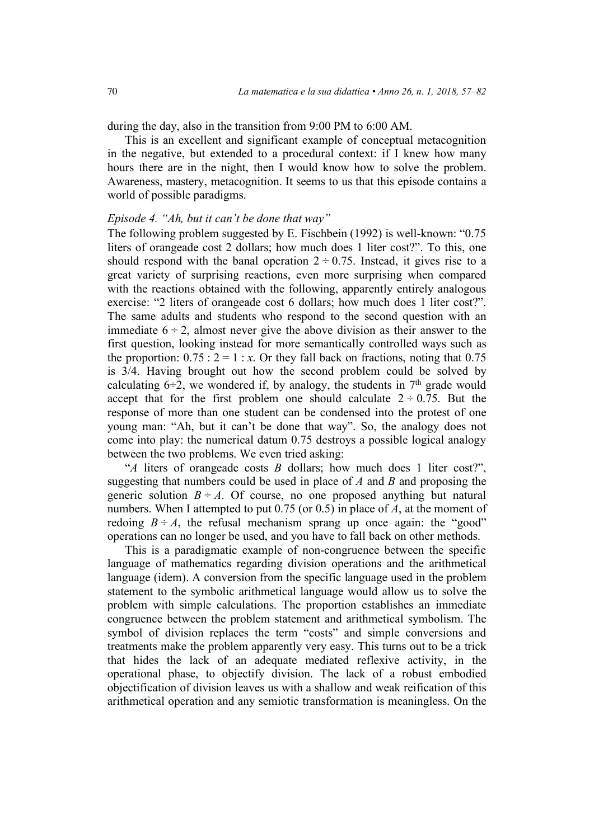during the day, also in the transition from 9:00 PM to 6:00 AM.

This is an excellent and significant example of conceptual metacognition in the negative, but extended to a procedural context: if I knew how many hours there are in the night, then I would know how to solve the problem. Awareness, mastery, metacognition. It seems to us that this episode contains a world of possible paradigms.

#### *Episode 4. "Ah, but it can't be done that way"*

The following problem suggested by E. Fischbein (1992) is well-known: "0.75 liters of orangeade cost 2 dollars; how much does 1 liter cost?". To this, one should respond with the banal operation  $2 \div 0.75$ . Instead, it gives rise to a great variety of surprising reactions, even more surprising when compared with the reactions obtained with the following, apparently entirely analogous exercise: "2 liters of orangeade cost 6 dollars; how much does 1 liter cost?". The same adults and students who respond to the second question with an immediate  $6 \div 2$ , almost never give the above division as their answer to the first question, looking instead for more semantically controlled ways such as the proportion:  $0.75 : 2 = 1 : x$ . Or they fall back on fractions, noting that 0.75 is 3/4. Having brought out how the second problem could be solved by calculating  $6\div 2$ , we wondered if, by analogy, the students in  $7<sup>th</sup>$  grade would accept that for the first problem one should calculate  $2 \div 0.75$ . But the response of more than one student can be condensed into the protest of one young man: "Ah, but it can't be done that way". So, the analogy does not come into play: the numerical datum 0.75 destroys a possible logical analogy between the two problems. We even tried asking:

"*A* liters of orangeade costs *B* dollars; how much does 1 liter cost?", suggesting that numbers could be used in place of *A* and *B* and proposing the generic solution  $B \div A$ . Of course, no one proposed anything but natural numbers. When I attempted to put 0.75 (or 0.5) in place of *A*, at the moment of redoing  $B \div A$ , the refusal mechanism sprang up once again: the "good" operations can no longer be used, and you have to fall back on other methods.

This is a paradigmatic example of non-congruence between the specific language of mathematics regarding division operations and the arithmetical language (idem). A conversion from the specific language used in the problem statement to the symbolic arithmetical language would allow us to solve the problem with simple calculations. The proportion establishes an immediate congruence between the problem statement and arithmetical symbolism. The symbol of division replaces the term "costs" and simple conversions and treatments make the problem apparently very easy. This turns out to be a trick that hides the lack of an adequate mediated reflexive activity, in the operational phase, to objectify division. The lack of a robust embodied objectification of division leaves us with a shallow and weak reification of this arithmetical operation and any semiotic transformation is meaningless. On the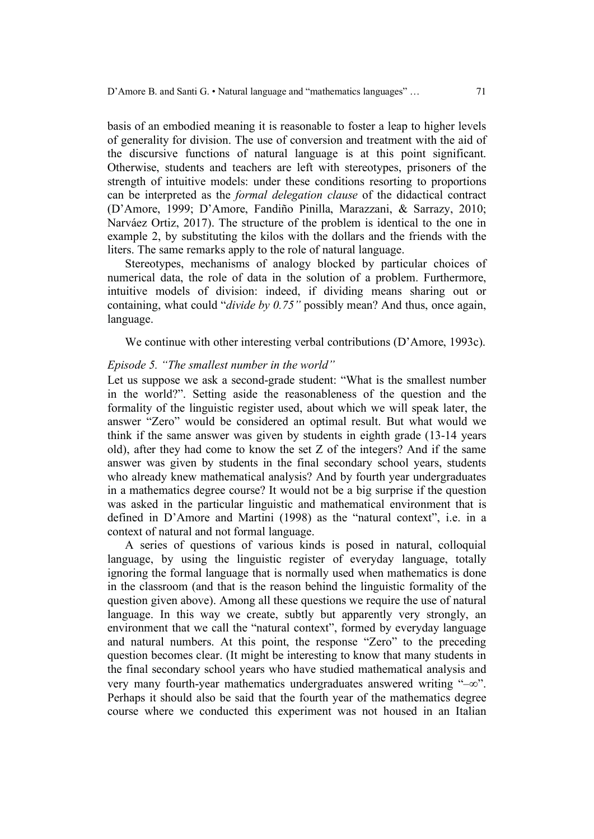basis of an embodied meaning it is reasonable to foster a leap to higher levels of generality for division. The use of conversion and treatment with the aid of the discursive functions of natural language is at this point significant. Otherwise, students and teachers are left with stereotypes, prisoners of the strength of intuitive models: under these conditions resorting to proportions can be interpreted as the *formal delegation clause* of the didactical contract (D'Amore, 1999; D'Amore, Fandiño Pinilla, Marazzani, & Sarrazy, 2010; Narváez Ortiz, 2017). The structure of the problem is identical to the one in example 2, by substituting the kilos with the dollars and the friends with the liters. The same remarks apply to the role of natural language.

Stereotypes, mechanisms of analogy blocked by particular choices of numerical data, the role of data in the solution of a problem. Furthermore, intuitive models of division: indeed, if dividing means sharing out or containing, what could "*divide by 0.75"* possibly mean? And thus, once again, language.

We continue with other interesting verbal contributions (D'Amore, 1993c).

#### *Episode 5. "The smallest number in the world"*

Let us suppose we ask a second-grade student: "What is the smallest number in the world?". Setting aside the reasonableness of the question and the formality of the linguistic register used, about which we will speak later, the answer "Zero" would be considered an optimal result. But what would we think if the same answer was given by students in eighth grade (13-14 years old), after they had come to know the set Z of the integers? And if the same answer was given by students in the final secondary school years, students who already knew mathematical analysis? And by fourth year undergraduates in a mathematics degree course? It would not be a big surprise if the question was asked in the particular linguistic and mathematical environment that is defined in D'Amore and Martini (1998) as the "natural context", i.e. in a context of natural and not formal language.

A series of questions of various kinds is posed in natural, colloquial language, by using the linguistic register of everyday language, totally ignoring the formal language that is normally used when mathematics is done in the classroom (and that is the reason behind the linguistic formality of the question given above). Among all these questions we require the use of natural language. In this way we create, subtly but apparently very strongly, an environment that we call the "natural context", formed by everyday language and natural numbers. At this point, the response "Zero" to the preceding question becomes clear. (It might be interesting to know that many students in the final secondary school years who have studied mathematical analysis and very many fourth-year mathematics undergraduates answered writing " $-\infty$ ". Perhaps it should also be said that the fourth year of the mathematics degree course where we conducted this experiment was not housed in an Italian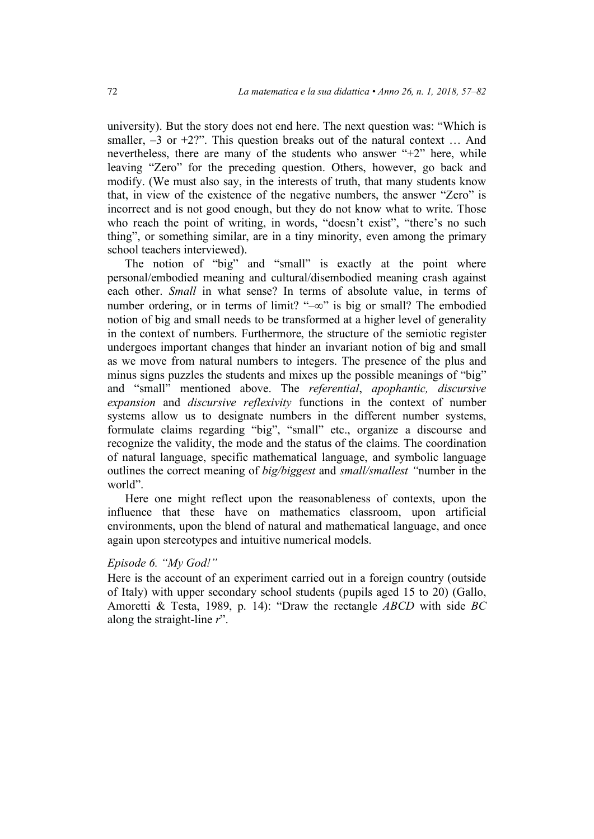university). But the story does not end here. The next question was: "Which is smaller,  $-3$  or  $+2$ ?". This question breaks out of the natural context ... And nevertheless, there are many of the students who answer "+2" here, while leaving "Zero" for the preceding question. Others, however, go back and modify. (We must also say, in the interests of truth, that many students know that, in view of the existence of the negative numbers, the answer "Zero" is incorrect and is not good enough, but they do not know what to write. Those who reach the point of writing, in words, "doesn't exist", "there's no such thing", or something similar, are in a tiny minority, even among the primary school teachers interviewed).

The notion of "big" and "small" is exactly at the point where personal/embodied meaning and cultural/disembodied meaning crash against each other. *Small* in what sense? In terms of absolute value, in terms of number ordering, or in terms of limit? " $-\infty$ " is big or small? The embodied notion of big and small needs to be transformed at a higher level of generality in the context of numbers. Furthermore, the structure of the semiotic register undergoes important changes that hinder an invariant notion of big and small as we move from natural numbers to integers. The presence of the plus and minus signs puzzles the students and mixes up the possible meanings of "big" and "small" mentioned above. The *referential*, *apophantic, discursive expansion* and *discursive reflexivity* functions in the context of number systems allow us to designate numbers in the different number systems, formulate claims regarding "big", "small" etc., organize a discourse and recognize the validity, the mode and the status of the claims. The coordination of natural language, specific mathematical language, and symbolic language outlines the correct meaning of *big/biggest* and *small/smallest "*number in the world".

Here one might reflect upon the reasonableness of contexts, upon the influence that these have on mathematics classroom, upon artificial environments, upon the blend of natural and mathematical language, and once again upon stereotypes and intuitive numerical models.

### *Episode 6. "My God!"*

Here is the account of an experiment carried out in a foreign country (outside of Italy) with upper secondary school students (pupils aged 15 to 20) (Gallo, Amoretti & Testa, 1989, p. 14): "Draw the rectangle *ABCD* with side *BC* along the straight-line *r*".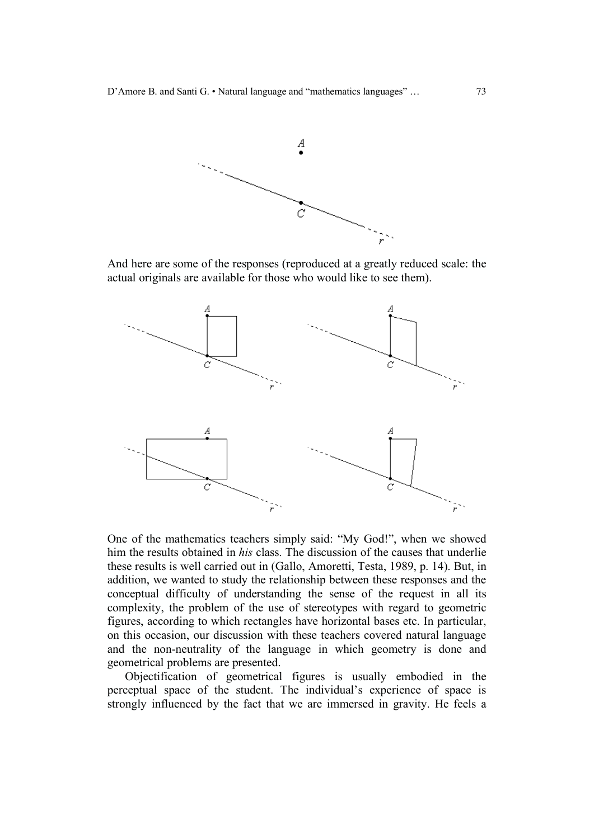

And here are some of the responses (reproduced at a greatly reduced scale: the actual originals are available for those who would like to see them).



One of the mathematics teachers simply said: "My God!", when we showed him the results obtained in *his* class. The discussion of the causes that underlie these results is well carried out in (Gallo, Amoretti, Testa, 1989, p. 14). But, in addition, we wanted to study the relationship between these responses and the conceptual difficulty of understanding the sense of the request in all its complexity, the problem of the use of stereotypes with regard to geometric figures, according to which rectangles have horizontal bases etc. In particular, on this occasion, our discussion with these teachers covered natural language and the non-neutrality of the language in which geometry is done and geometrical problems are presented.

Objectification of geometrical figures is usually embodied in the perceptual space of the student. The individual's experience of space is strongly influenced by the fact that we are immersed in gravity. He feels a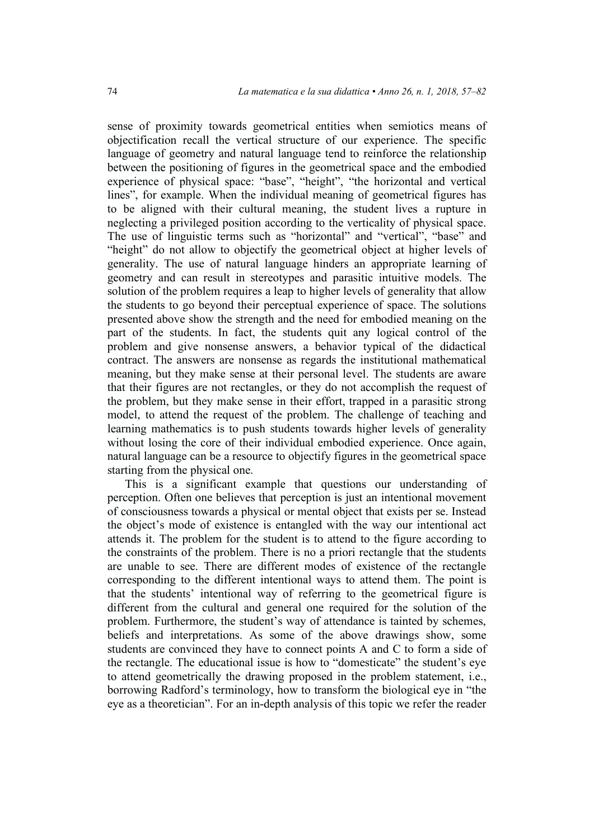sense of proximity towards geometrical entities when semiotics means of objectification recall the vertical structure of our experience. The specific language of geometry and natural language tend to reinforce the relationship between the positioning of figures in the geometrical space and the embodied experience of physical space: "base", "height", "the horizontal and vertical lines", for example. When the individual meaning of geometrical figures has to be aligned with their cultural meaning, the student lives a rupture in neglecting a privileged position according to the verticality of physical space. The use of linguistic terms such as "horizontal" and "vertical", "base" and "height" do not allow to objectify the geometrical object at higher levels of generality. The use of natural language hinders an appropriate learning of geometry and can result in stereotypes and parasitic intuitive models. The solution of the problem requires a leap to higher levels of generality that allow the students to go beyond their perceptual experience of space. The solutions presented above show the strength and the need for embodied meaning on the part of the students. In fact, the students quit any logical control of the problem and give nonsense answers, a behavior typical of the didactical contract. The answers are nonsense as regards the institutional mathematical meaning, but they make sense at their personal level. The students are aware that their figures are not rectangles, or they do not accomplish the request of the problem, but they make sense in their effort, trapped in a parasitic strong model, to attend the request of the problem. The challenge of teaching and learning mathematics is to push students towards higher levels of generality without losing the core of their individual embodied experience. Once again, natural language can be a resource to objectify figures in the geometrical space starting from the physical one.

This is a significant example that questions our understanding of perception. Often one believes that perception is just an intentional movement of consciousness towards a physical or mental object that exists per se. Instead the object's mode of existence is entangled with the way our intentional act attends it. The problem for the student is to attend to the figure according to the constraints of the problem. There is no a priori rectangle that the students are unable to see. There are different modes of existence of the rectangle corresponding to the different intentional ways to attend them. The point is that the students' intentional way of referring to the geometrical figure is different from the cultural and general one required for the solution of the problem. Furthermore, the student's way of attendance is tainted by schemes, beliefs and interpretations. As some of the above drawings show, some students are convinced they have to connect points A and C to form a side of the rectangle. The educational issue is how to "domesticate" the student's eye to attend geometrically the drawing proposed in the problem statement, i.e., borrowing Radford's terminology, how to transform the biological eye in "the eye as a theoretician". For an in-depth analysis of this topic we refer the reader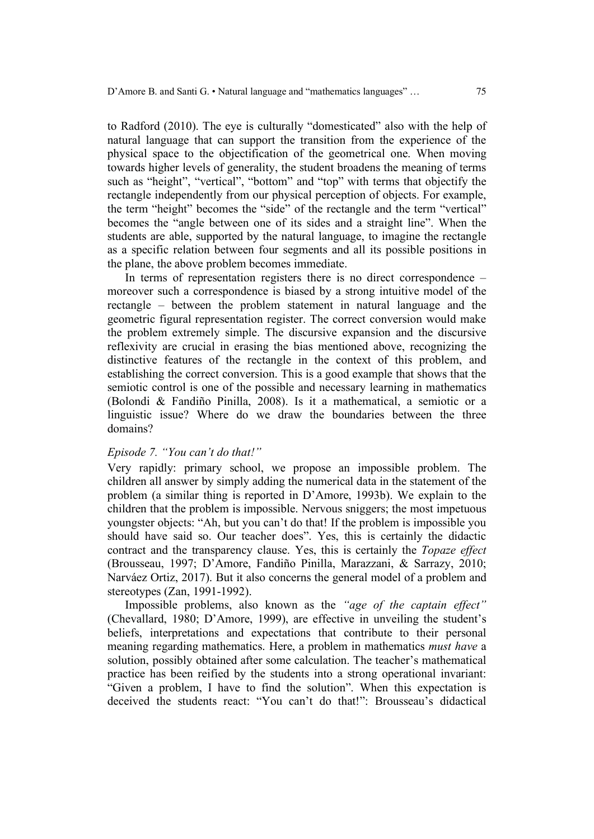to Radford (2010). The eye is culturally "domesticated" also with the help of natural language that can support the transition from the experience of the physical space to the objectification of the geometrical one. When moving towards higher levels of generality, the student broadens the meaning of terms such as "height", "vertical", "bottom" and "top" with terms that objectify the rectangle independently from our physical perception of objects. For example, the term "height" becomes the "side" of the rectangle and the term "vertical" becomes the "angle between one of its sides and a straight line". When the students are able, supported by the natural language, to imagine the rectangle as a specific relation between four segments and all its possible positions in the plane, the above problem becomes immediate.

In terms of representation registers there is no direct correspondence – moreover such a correspondence is biased by a strong intuitive model of the rectangle – between the problem statement in natural language and the geometric figural representation register. The correct conversion would make the problem extremely simple. The discursive expansion and the discursive reflexivity are crucial in erasing the bias mentioned above, recognizing the distinctive features of the rectangle in the context of this problem, and establishing the correct conversion. This is a good example that shows that the semiotic control is one of the possible and necessary learning in mathematics (Bolondi & Fandiño Pinilla, 2008). Is it a mathematical, a semiotic or a linguistic issue? Where do we draw the boundaries between the three domains?

#### *Episode 7. "You can't do that!"*

Very rapidly: primary school, we propose an impossible problem. The children all answer by simply adding the numerical data in the statement of the problem (a similar thing is reported in D'Amore, 1993b). We explain to the children that the problem is impossible. Nervous sniggers; the most impetuous youngster objects: "Ah, but you can't do that! If the problem is impossible you should have said so. Our teacher does". Yes, this is certainly the didactic contract and the transparency clause. Yes, this is certainly the *Topaze effect* (Brousseau, 1997; D'Amore, Fandiño Pinilla, Marazzani, & Sarrazy, 2010; Narváez Ortiz, 2017). But it also concerns the general model of a problem and stereotypes (Zan, 1991-1992).

Impossible problems, also known as the *"age of the captain effect"* (Chevallard, 1980; D'Amore, 1999), are effective in unveiling the student's beliefs, interpretations and expectations that contribute to their personal meaning regarding mathematics. Here, a problem in mathematics *must have* a solution, possibly obtained after some calculation. The teacher's mathematical practice has been reified by the students into a strong operational invariant: "Given a problem, I have to find the solution". When this expectation is deceived the students react: "You can't do that!": Brousseau's didactical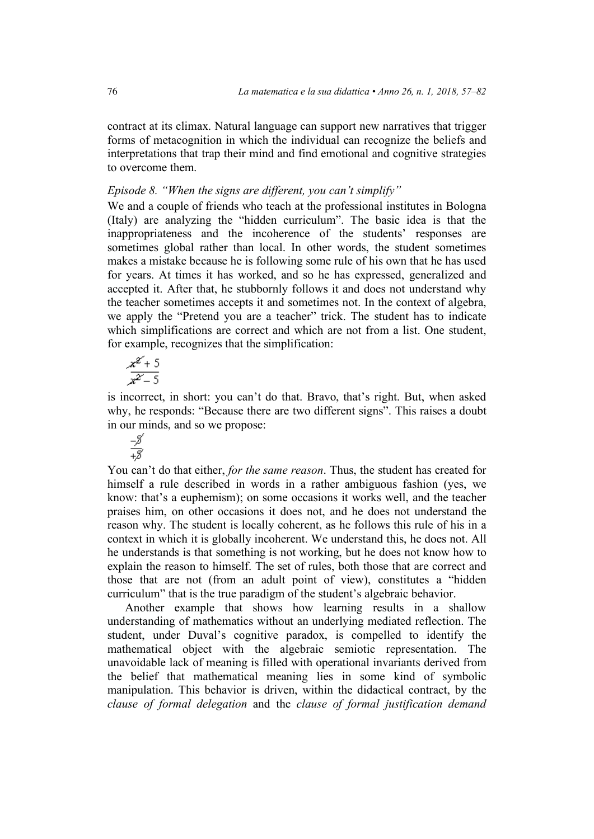contract at its climax. Natural language can support new narratives that trigger forms of metacognition in which the individual can recognize the beliefs and interpretations that trap their mind and find emotional and cognitive strategies to overcome them.

## *Episode 8. "When the signs are different, you can't simplify"*

We and a couple of friends who teach at the professional institutes in Bologna (Italy) are analyzing the "hidden curriculum". The basic idea is that the inappropriateness and the incoherence of the students' responses are sometimes global rather than local. In other words, the student sometimes makes a mistake because he is following some rule of his own that he has used for years. At times it has worked, and so he has expressed, generalized and accepted it. After that, he stubbornly follows it and does not understand why the teacher sometimes accepts it and sometimes not. In the context of algebra, we apply the "Pretend you are a teacher" trick. The student has to indicate which simplifications are correct and which are not from a list. One student, for example, recognizes that the simplification:

$$
\frac{x^{2}+5}{x^{2}-5}
$$

is incorrect, in short: you can't do that. Bravo, that's right. But, when asked why, he responds: "Because there are two different signs". This raises a doubt in our minds, and so we propose:

You can't do that either, *for the same reason*. Thus, the student has created for himself a rule described in words in a rather ambiguous fashion (yes, we know: that's a euphemism); on some occasions it works well, and the teacher praises him, on other occasions it does not, and he does not understand the reason why. The student is locally coherent, as he follows this rule of his in a context in which it is globally incoherent. We understand this, he does not. All he understands is that something is not working, but he does not know how to explain the reason to himself. The set of rules, both those that are correct and those that are not (from an adult point of view), constitutes a "hidden curriculum" that is the true paradigm of the student's algebraic behavior.

Another example that shows how learning results in a shallow understanding of mathematics without an underlying mediated reflection. The student, under Duval's cognitive paradox, is compelled to identify the mathematical object with the algebraic semiotic representation. The unavoidable lack of meaning is filled with operational invariants derived from the belief that mathematical meaning lies in some kind of symbolic manipulation. This behavior is driven, within the didactical contract, by the *clause of formal delegation* and the *clause of formal justification demand*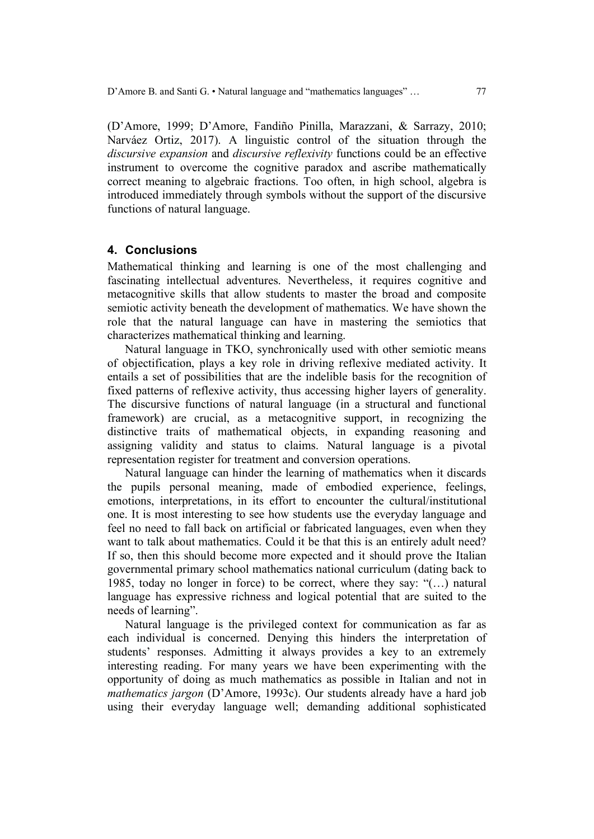(D'Amore, 1999; D'Amore, Fandiño Pinilla, Marazzani, & Sarrazy, 2010; Narváez Ortiz, 2017). A linguistic control of the situation through the *discursive expansion* and *discursive reflexivity* functions could be an effective instrument to overcome the cognitive paradox and ascribe mathematically correct meaning to algebraic fractions. Too often, in high school, algebra is introduced immediately through symbols without the support of the discursive functions of natural language.

### **4. Conclusions**

Mathematical thinking and learning is one of the most challenging and fascinating intellectual adventures. Nevertheless, it requires cognitive and metacognitive skills that allow students to master the broad and composite semiotic activity beneath the development of mathematics. We have shown the role that the natural language can have in mastering the semiotics that characterizes mathematical thinking and learning.

Natural language in TKO, synchronically used with other semiotic means of objectification, plays a key role in driving reflexive mediated activity. It entails a set of possibilities that are the indelible basis for the recognition of fixed patterns of reflexive activity, thus accessing higher layers of generality. The discursive functions of natural language (in a structural and functional framework) are crucial, as a metacognitive support, in recognizing the distinctive traits of mathematical objects, in expanding reasoning and assigning validity and status to claims. Natural language is a pivotal representation register for treatment and conversion operations.

Natural language can hinder the learning of mathematics when it discards the pupils personal meaning, made of embodied experience, feelings, emotions, interpretations, in its effort to encounter the cultural/institutional one. It is most interesting to see how students use the everyday language and feel no need to fall back on artificial or fabricated languages, even when they want to talk about mathematics. Could it be that this is an entirely adult need? If so, then this should become more expected and it should prove the Italian governmental primary school mathematics national curriculum (dating back to 1985, today no longer in force) to be correct, where they say: "(…) natural language has expressive richness and logical potential that are suited to the needs of learning".

Natural language is the privileged context for communication as far as each individual is concerned. Denying this hinders the interpretation of students' responses. Admitting it always provides a key to an extremely interesting reading. For many years we have been experimenting with the opportunity of doing as much mathematics as possible in Italian and not in *mathematics jargon* (D'Amore, 1993c). Our students already have a hard job using their everyday language well; demanding additional sophisticated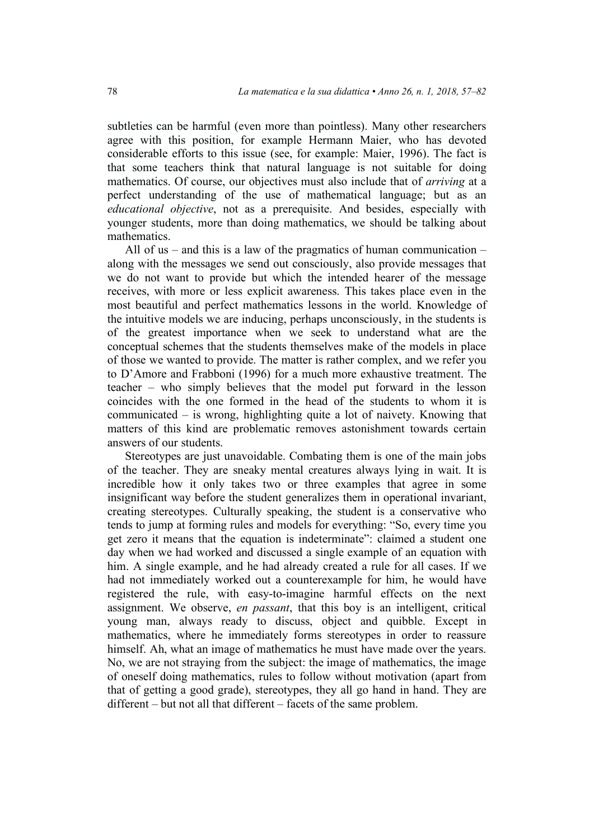subtleties can be harmful (even more than pointless). Many other researchers agree with this position, for example Hermann Maier, who has devoted considerable efforts to this issue (see, for example: Maier, 1996). The fact is that some teachers think that natural language is not suitable for doing mathematics. Of course, our objectives must also include that of *arriving* at a perfect understanding of the use of mathematical language; but as an *educational objective*, not as a prerequisite. And besides, especially with younger students, more than doing mathematics, we should be talking about mathematics.

All of us – and this is a law of the pragmatics of human communication – along with the messages we send out consciously, also provide messages that we do not want to provide but which the intended hearer of the message receives, with more or less explicit awareness. This takes place even in the most beautiful and perfect mathematics lessons in the world. Knowledge of the intuitive models we are inducing, perhaps unconsciously, in the students is of the greatest importance when we seek to understand what are the conceptual schemes that the students themselves make of the models in place of those we wanted to provide. The matter is rather complex, and we refer you to D'Amore and Frabboni (1996) for a much more exhaustive treatment. The teacher – who simply believes that the model put forward in the lesson coincides with the one formed in the head of the students to whom it is communicated – is wrong, highlighting quite a lot of naivety. Knowing that matters of this kind are problematic removes astonishment towards certain answers of our students.

Stereotypes are just unavoidable. Combating them is one of the main jobs of the teacher. They are sneaky mental creatures always lying in wait. It is incredible how it only takes two or three examples that agree in some insignificant way before the student generalizes them in operational invariant, creating stereotypes. Culturally speaking, the student is a conservative who tends to jump at forming rules and models for everything: "So, every time you get zero it means that the equation is indeterminate": claimed a student one day when we had worked and discussed a single example of an equation with him. A single example, and he had already created a rule for all cases. If we had not immediately worked out a counterexample for him, he would have registered the rule, with easy-to-imagine harmful effects on the next assignment. We observe, *en passant*, that this boy is an intelligent, critical young man, always ready to discuss, object and quibble. Except in mathematics, where he immediately forms stereotypes in order to reassure himself. Ah, what an image of mathematics he must have made over the years. No, we are not straying from the subject: the image of mathematics, the image of oneself doing mathematics, rules to follow without motivation (apart from that of getting a good grade), stereotypes, they all go hand in hand. They are different – but not all that different – facets of the same problem.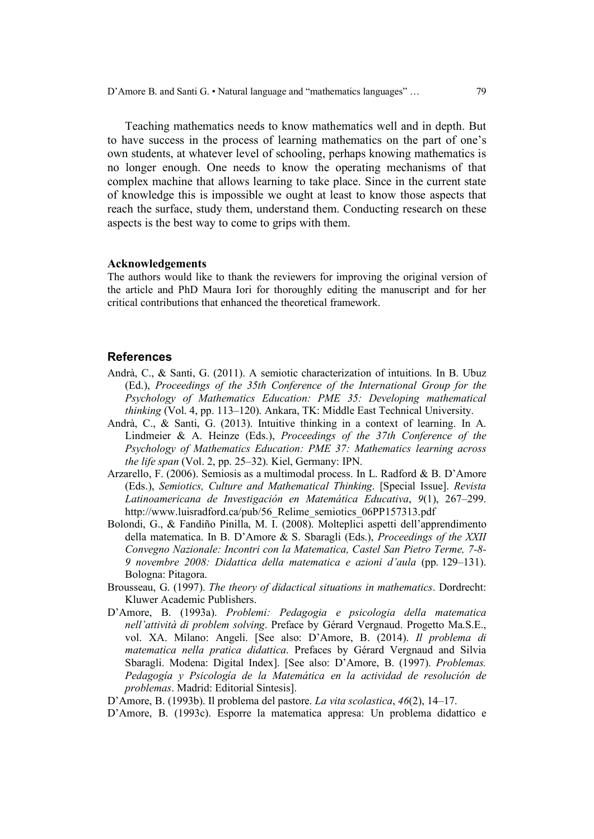Teaching mathematics needs to know mathematics well and in depth. But to have success in the process of learning mathematics on the part of one's own students, at whatever level of schooling, perhaps knowing mathematics is no longer enough. One needs to know the operating mechanisms of that complex machine that allows learning to take place. Since in the current state of knowledge this is impossible we ought at least to know those aspects that reach the surface, study them, understand them. Conducting research on these aspects is the best way to come to grips with them.

#### **Acknowledgements**

The authors would like to thank the reviewers for improving the original version of the article and PhD Maura Iori for thoroughly editing the manuscript and for her critical contributions that enhanced the theoretical framework.

#### **References**

- Andrà, C., & Santi, G. (2011). A semiotic characterization of intuitions. In B. Ubuz (Ed.), *Proceedings of the 35th Conference of the International Group for the Psychology of Mathematics Education: PME 35: Developing mathematical thinking* (Vol. 4, pp. 113–120). Ankara, TK: Middle East Technical University.
- Andrà, C., & Santi, G. (2013). Intuitive thinking in a context of learning. In A. Lindmeier & A. Heinze (Eds.), *Proceedings of the 37th Conference of the Psychology of Mathematics Education: PME 37: Mathematics learning across the life span* (Vol. 2, pp. 25–32). Kiel, Germany: IPN.
- Arzarello, F. (2006). Semiosis as a multimodal process. In L. Radford & B. D'Amore (Eds.), *Semiotics, Culture and Mathematical Thinking*. [Special Issue]. *Revista Latinoamericana de Investigación en Matemática Educativa*, *9*(1), 267–299. http://www.luisradford.ca/pub/56\_Relime\_semiotics\_06PP157313.pdf
- Bolondi, G., & Fandiño Pinilla, M. I. (2008). Molteplici aspetti dell'apprendimento della matematica. In B. D'Amore & S. Sbaragli (Eds.), *Proceedings of the XXII Convegno Nazionale: Incontri con la Matematica, Castel San Pietro Terme, 7-8- 9 novembre 2008: Didattica della matematica e azioni d'aula* (pp. 129–131). Bologna: Pitagora.
- Brousseau, G. (1997). *The theory of didactical situations in mathematics*. Dordrecht: Kluwer Academic Publishers.
- D'Amore, B. (1993a). *Problemi: Pedagogia e psicologia della matematica nell'attività di problem solving*. Preface by Gérard Vergnaud. Progetto Ma.S.E., vol. XA. Milano: Angeli. [See also: D'Amore, B. (2014). *Il problema di matematica nella pratica didattica*. Prefaces by Gérard Vergnaud and Silvia Sbaragli. Modena: Digital Index]. [See also: D'Amore, B. (1997). *Problemas.*  Pedagogía y Psicología de la Matemática en la actividad de resolución de *problemas*. Madrid: Editorial Sintesis].
- D'Amore, B. (1993b). Il problema del pastore. *La vita scolastica*, *46*(2), 14–17.
- D'Amore, B. (1993c). Esporre la matematica appresa: Un problema didattico e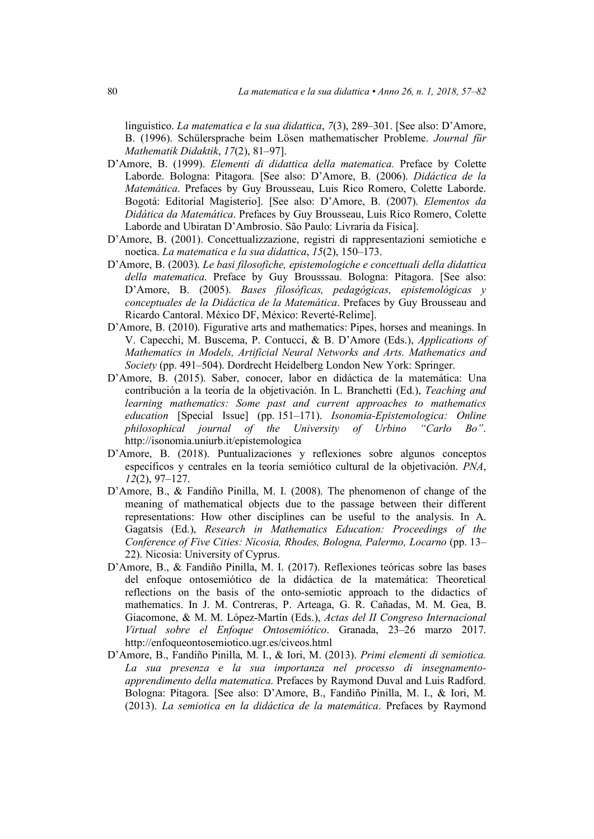linguistico. *La matematica e la sua didattica*, *7*(3), 289–301. [See also: D'Amore, B. (1996). Schülersprache beim Lösen mathematischer Probleme. *Journal für Mathematik Didaktik*, *17*(2), 81–97].

- D'Amore, B. (1999). *Elementi di didattica della matematica.* Preface by Colette Laborde. Bologna: Pitagora. [See also: D'Amore, B. (2006). *Didáctica de la Matemática*. Prefaces by Guy Brousseau, Luis Rico Romero, Colette Laborde. Bogotá: Editorial Magisterio]. [See also: D'Amore, B. (2007). *Elementos da Didática da Matemática*. Prefaces by Guy Brousseau, Luis Rico Romero, Colette Laborde and Ubiratan D'Ambrosio. São Paulo: Livraria da Física].
- D'Amore, B. (2001). Concettualizzazione, registri di rappresentazioni semiotiche e noetica. *La matematica e la sua didattica*, *15*(2), 150–173.
- D'Amore, B. (2003). *Le basi filosofiche, epistemologiche e concettuali della didattica della matematica*. Preface by Guy Brousssau. Bologna: Pitagora. [See also: D'Amore, B. (2005). *Bases filosóficas, pedagógicas, epistemológicas y conceptuales de la Didáctica de la Matemática*. Prefaces by Guy Brousseau and Ricardo Cantoral. México DF, México: Reverté-Relime].
- D'Amore, B. (2010). Figurative arts and mathematics: Pipes, horses and meanings. In V. Capecchi, M. Buscema, P. Contucci, & B. D'Amore (Eds.), *Applications of Mathematics in Models, Artificial Neural Networks and Arts. Mathematics and Society* (pp. 491–504). Dordrecht Heidelberg London New York: Springer.
- D'Amore, B. (2015). Saber, conocer, labor en didáctica de la matemática: Una contribución a la teoría de la objetivación. In L. Branchetti (Ed.), *Teaching and learning mathematics: Some past and current approaches to mathematics education* [Special Issue] (pp. 151–171). *Isonomia-Epistemologica: Online philosophical journal of the University of Urbino "Carlo Bo"*. http://isonomia.uniurb.it/epistemologica
- D'Amore, B. (2018). Puntualizaciones y reflexiones sobre algunos conceptos específicos y centrales en la teoría semiótico cultural de la objetivación. *PNA*, *12*(2), 97–127.
- D'Amore, B., & Fandiño Pinilla, M. I. (2008). The phenomenon of change of the meaning of mathematical objects due to the passage between their different representations: How other disciplines can be useful to the analysis. In A. Gagatsis (Ed.), *Research in Mathematics Education: Proceedings of the Conference of Five Cities: Nicosia, Rhodes, Bologna, Palermo, Locarno* (pp. 13– 22). Nicosia: University of Cyprus.
- D'Amore, B., & Fandiño Pinilla, M. I. (2017). Reflexiones teóricas sobre las bases del enfoque ontosemiótico de la didáctica de la matemática: Theoretical reflections on the basis of the onto-semiotic approach to the didactics of mathematics. In J. M. Contreras, P. Arteaga, G. R. Cañadas, M. M. Gea, B. Giacomone, & M. M. López-Martín (Eds.), *Actas del II Congreso Internacional Virtual sobre el Enfoque Ontosemiótico*. Granada, 23–26 marzo 2017. http://enfoqueontosemiotico.ugr.es/civeos.html
- D'Amore, B., Fandiño Pinilla, M. I., & Iori, M. (2013). *Primi elementi di semiotica. La sua presenza e la sua importanza nel processo di insegnamentoapprendimento della matematica*. Prefaces by Raymond Duval and Luis Radford. Bologna: Pitagora. [See also: D'Amore, B., Fandiño Pinilla, M. I., & Iori, M. (2013). *La semiotica en la didáctica de la matemática*. Prefaces by Raymond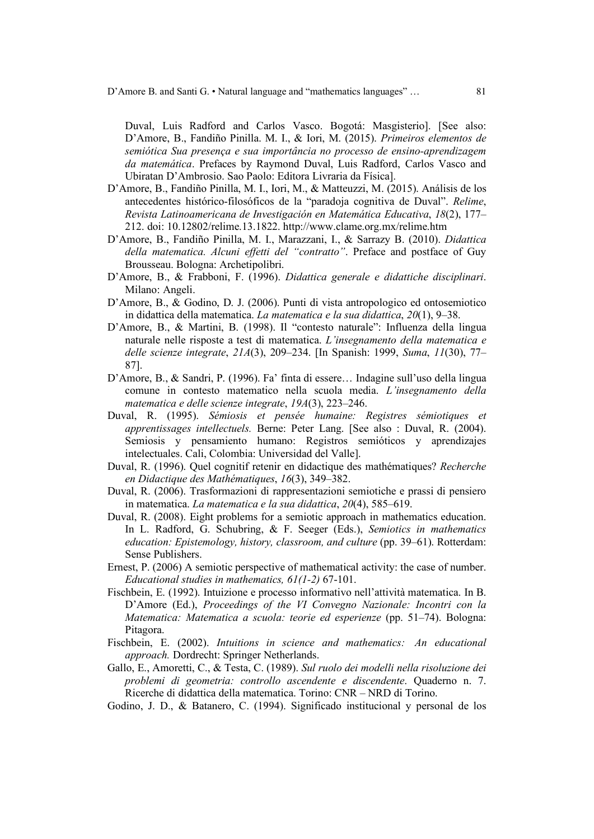Duval, Luis Radford and Carlos Vasco. Bogotá: Masgisterio]. [See also: D'Amore, B., Fandiño Pinilla. M. I., & Iori, M. (2015). *Primeiros elementos de semiótica Sua presença e sua importância no processo de ensino-aprendizagem da matemática*. Prefaces by Raymond Duval, Luis Radford, Carlos Vasco and Ubiratan D'Ambrosio. Sao Paolo: Editora Livraria da Física].

- D'Amore, B., Fandiño Pinilla, M. I., Iori, M., & Matteuzzi, M. (2015). Análisis de los antecedentes histórico-filosóficos de la "paradoja cognitiva de Duval". *Relime*, *Revista Latinoamericana de Investigación en Matemática Educativa*, *18*(2), 177– 212. doi: 10.12802/relime.13.1822. http://www.clame.org.mx/relime.htm
- D'Amore, B., Fandiño Pinilla, M. I., Marazzani, I., & Sarrazy B. (2010). *Didattica della matematica. Alcuni effetti del "contratto"*. Preface and postface of Guy Brousseau. Bologna: Archetipolibri.
- D'Amore, B., & Frabboni, F. (1996). *Didattica generale e didattiche disciplinari*. Milano: Angeli.
- D'Amore, B., & Godino, D. J. (2006). Punti di vista antropologico ed ontosemiotico in didattica della matematica. *La matematica e la sua didattica*, *20*(1), 9–38.
- D'Amore, B., & Martini, B. (1998). Il "contesto naturale": Influenza della lingua naturale nelle risposte a test di matematica. *L'insegnamento della matematica e delle scienze integrate*, *21A*(3), 209–234. [In Spanish: 1999, *Suma*, *11*(30), 77– 87].
- D'Amore, B., & Sandri, P. (1996). Fa' finta di essere… Indagine sull'uso della lingua comune in contesto matematico nella scuola media. *L'insegnamento della matematica e delle scienze integrate*, *19A*(3), 223–246.
- Duval, R. (1995). *Sémiosis et pensée humaine: Registres sémiotiques et apprentissages intellectuels.* Berne: Peter Lang. [See also : Duval, R. (2004). Semiosis y pensamiento humano: Registros semióticos y aprendizajes intelectuales. Cali, Colombia: Universidad del Valle].
- Duval, R. (1996). Quel cognitif retenir en didactique des mathématiques? *Recherche en Didactique des Mathématiques*, *16*(3), 349–382.
- Duval, R. (2006). Trasformazioni di rappresentazioni semiotiche e prassi di pensiero in matematica. *La matematica e la sua didattica*, *20*(4), 585–619.
- Duval, R. (2008). Eight problems for a semiotic approach in mathematics education. In L. Radford, G. Schubring, & F. Seeger (Eds.), *Semiotics in mathematics education: Epistemology, history, classroom, and culture* (pp. 39–61). Rotterdam: Sense Publishers.
- Ernest, P. (2006) A semiotic perspective of mathematical activity: the case of number. *Educational studies in mathematics, 61(1-2)* 67-101.
- Fischbein, E. (1992). Intuizione e processo informativo nell'attività matematica. In B. D'Amore (Ed.), *Proceedings of the VI Convegno Nazionale: Incontri con la Matematica: Matematica a scuola: teorie ed esperienze* (pp. 51–74). Bologna: Pitagora.
- Fischbein, E. (2002). *Intuitions in science and mathematics: An educational approach.* Dordrecht: Springer Netherlands.
- Gallo, E., Amoretti, C., & Testa, C. (1989). *Sul ruolo dei modelli nella risoluzione dei problemi di geometria: controllo ascendente e discendente*. Quaderno n. 7. Ricerche di didattica della matematica. Torino: CNR – NRD di Torino.
- Godino, J. D., & Batanero, C. (1994). Significado institucional y personal de los